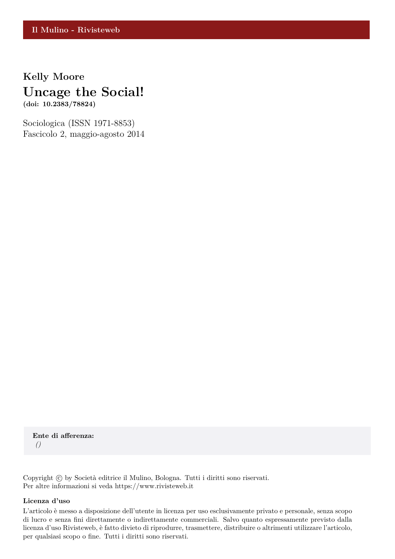## **Kelly Moore Uncage the Social!**

**(doi: 10.2383/78824)**

Sociologica (ISSN 1971-8853) Fascicolo 2, maggio-agosto 2014

**Ente di afferenza:** *()*

Copyright © by Società editrice il Mulino, Bologna. Tutti i diritti sono riservati. Per altre informazioni si veda https://www.rivisteweb.it

## **Licenza d'uso**

L'articolo è messo a disposizione dell'utente in licenza per uso esclusivamente privato e personale, senza scopo di lucro e senza fini direttamente o indirettamente commerciali. Salvo quanto espressamente previsto dalla licenza d'uso Rivisteweb, è fatto divieto di riprodurre, trasmettere, distribuire o altrimenti utilizzare l'articolo, per qualsiasi scopo o fine. Tutti i diritti sono riservati.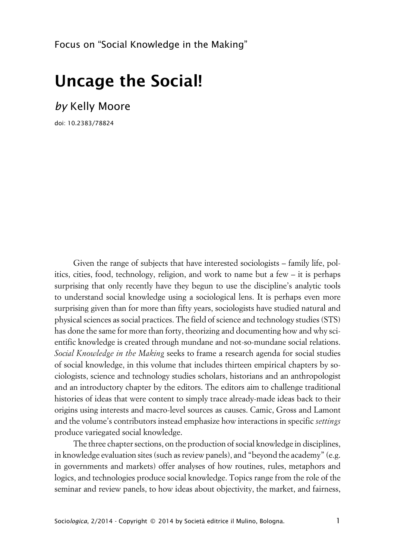Focus on "Social Knowledge in the Making"

## **Uncage the Social!**

*by* Kelly Moore

doi: 10.2383/78824

Given the range of subjects that have interested sociologists – family life, politics, cities, food, technology, religion, and work to name but a few – it is perhaps surprising that only recently have they begun to use the discipline's analytic tools to understand social knowledge using a sociological lens. It is perhaps even more surprising given than for more than fifty years, sociologists have studied natural and physical sciences as social practices. The field of science and technology studies (STS) has done the same for more than forty, theorizing and documenting how and why scientific knowledge is created through mundane and not-so-mundane social relations. *Social Knowledge in the Making* seeks to frame a research agenda for social studies of social knowledge, in this volume that includes thirteen empirical chapters by sociologists, science and technology studies scholars, historians and an anthropologist and an introductory chapter by the editors. The editors aim to challenge traditional histories of ideas that were content to simply trace already-made ideas back to their origins using interests and macro-level sources as causes. Camic, Gross and Lamont and the volume's contributors instead emphasize how interactions in specific *settings* produce variegated social knowledge.

The three chapter sections, on the production of social knowledge in disciplines, in knowledge evaluation sites (such as review panels), and "beyond the academy" (e.g. in governments and markets) offer analyses of how routines, rules, metaphors and logics, and technologies produce social knowledge. Topics range from the role of the seminar and review panels, to how ideas about objectivity, the market, and fairness,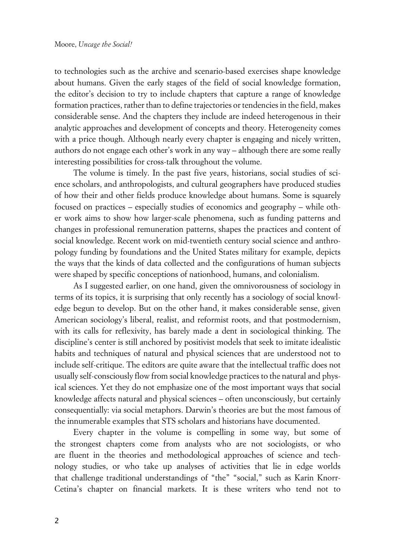to technologies such as the archive and scenario-based exercises shape knowledge about humans. Given the early stages of the field of social knowledge formation, the editor's decision to try to include chapters that capture a range of knowledge formation practices, rather than to define trajectories or tendencies in the field, makes considerable sense. And the chapters they include are indeed heterogenous in their analytic approaches and development of concepts and theory. Heterogeneity comes with a price though. Although nearly every chapter is engaging and nicely written, authors do not engage each other's work in any way – although there are some really interesting possibilities for cross-talk throughout the volume.

The volume is timely. In the past five years, historians, social studies of science scholars, and anthropologists, and cultural geographers have produced studies of how their and other fields produce knowledge about humans. Some is squarely focused on practices – especially studies of economics and geography – while other work aims to show how larger-scale phenomena, such as funding patterns and changes in professional remuneration patterns, shapes the practices and content of social knowledge. Recent work on mid-twentieth century social science and anthropology funding by foundations and the United States military for example, depicts the ways that the kinds of data collected and the configurations of human subjects were shaped by specific conceptions of nationhood, humans, and colonialism.

As I suggested earlier, on one hand, given the omnivorousness of sociology in terms of its topics, it is surprising that only recently has a sociology of social knowledge begun to develop. But on the other hand, it makes considerable sense, given American sociology's liberal, realist, and reformist roots, and that postmodernism, with its calls for reflexivity, has barely made a dent in sociological thinking. The discipline's center is still anchored by positivist models that seek to imitate idealistic habits and techniques of natural and physical sciences that are understood not to include self-critique. The editors are quite aware that the intellectual traffic does not usually self-consciously flow from social knowledge practices to the natural and physical sciences. Yet they do not emphasize one of the most important ways that social knowledge affects natural and physical sciences – often unconsciously, but certainly consequentially: via social metaphors. Darwin's theories are but the most famous of the innumerable examples that STS scholars and historians have documented.

Every chapter in the volume is compelling in some way, but some of the strongest chapters come from analysts who are not sociologists, or who are fluent in the theories and methodological approaches of science and technology studies, or who take up analyses of activities that lie in edge worlds that challenge traditional understandings of "the" "social," such as Karin Knorr-Cetina's chapter on financial markets. It is these writers who tend not to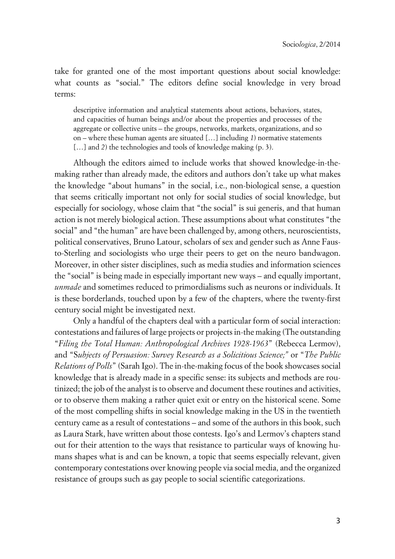take for granted one of the most important questions about social knowledge: what counts as "social." The editors define social knowledge in very broad terms:

descriptive information and analytical statements about actions, behaviors, states, and capacities of human beings and/or about the properties and processes of the aggregate or collective units – the groups, networks, markets, organizations, and so on – where these human agents are situated […] including *1*) normative statements [...] and 2) the technologies and tools of knowledge making (p. 3).

Although the editors aimed to include works that showed knowledge-in-themaking rather than already made, the editors and authors don't take up what makes the knowledge "about humans" in the social, i.e., non-biological sense, a question that seems critically important not only for social studies of social knowledge, but especially for sociology, whose claim that "the social" is sui generis, and that human action is not merely biological action. These assumptions about what constitutes "the social" and "the human" are have been challenged by, among others, neuroscientists, political conservatives, Bruno Latour, scholars of sex and gender such as Anne Fausto-Sterling and sociologists who urge their peers to get on the neuro bandwagon. Moreover, in other sister disciplines, such as media studies and information sciences the "social" is being made in especially important new ways – and equally important, *unmade* and sometimes reduced to primordialisms such as neurons or individuals. It is these borderlands, touched upon by a few of the chapters, where the twenty-first century social might be investigated next.

Only a handful of the chapters deal with a particular form of social interaction: contestations and failures of large projects or projects in-the making (The outstanding "*Filing the Total Human: Anthropological Archives 1928-1963*" (Rebecca Lermov), and "S*ubjects of Persuasion: Survey Research as a Solicitious Science;"* or "*The Public Relations of Polls*" (Sarah Igo). The in-the-making focus of the book showcases social knowledge that is already made in a specific sense: its subjects and methods are routinized; the job of the analyst is to observe and document these routines and activities, or to observe them making a rather quiet exit or entry on the historical scene. Some of the most compelling shifts in social knowledge making in the US in the twentieth century came as a result of contestations – and some of the authors in this book, such as Laura Stark, have written about those contests. Igo's and Lermov's chapters stand out for their attention to the ways that resistance to particular ways of knowing humans shapes what is and can be known, a topic that seems especially relevant, given contemporary contestations over knowing people via social media, and the organized resistance of groups such as gay people to social scientific categorizations.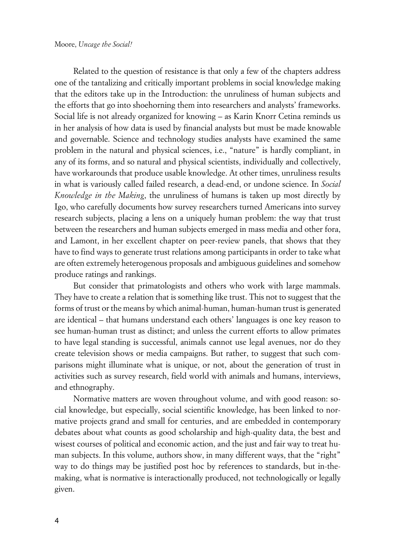Related to the question of resistance is that only a few of the chapters address one of the tantalizing and critically important problems in social knowledge making that the editors take up in the Introduction: the unruliness of human subjects and the efforts that go into shoehorning them into researchers and analysts' frameworks. Social life is not already organized for knowing – as Karin Knorr Cetina reminds us in her analysis of how data is used by financial analysts but must be made knowable and governable. Science and technology studies analysts have examined the same problem in the natural and physical sciences, i.e., "nature" is hardly compliant, in any of its forms, and so natural and physical scientists, individually and collectively, have workarounds that produce usable knowledge. At other times, unruliness results in what is variously called failed research, a dead-end, or undone science. In *Social Knowledge in the Making*, the unruliness of humans is taken up most directly by Igo, who carefully documents how survey researchers turned Americans into survey research subjects, placing a lens on a uniquely human problem: the way that trust between the researchers and human subjects emerged in mass media and other fora, and Lamont, in her excellent chapter on peer-review panels, that shows that they have to find ways to generate trust relations among participants in order to take what are often extremely heterogenous proposals and ambiguous guidelines and somehow produce ratings and rankings.

But consider that primatologists and others who work with large mammals. They have to create a relation that is something like trust. This not to suggest that the forms of trust or the means by which animal-human, human-human trust is generated are identical – that humans understand each others' languages is one key reason to see human-human trust as distinct; and unless the current efforts to allow primates to have legal standing is successful, animals cannot use legal avenues, nor do they create television shows or media campaigns. But rather, to suggest that such comparisons might illuminate what is unique, or not, about the generation of trust in activities such as survey research, field world with animals and humans, interviews, and ethnography.

Normative matters are woven throughout volume, and with good reason: social knowledge, but especially, social scientific knowledge, has been linked to normative projects grand and small for centuries, and are embedded in contemporary debates about what counts as good scholarship and high-quality data, the best and wisest courses of political and economic action, and the just and fair way to treat human subjects. In this volume, authors show, in many different ways, that the "right" way to do things may be justified post hoc by references to standards, but in-themaking, what is normative is interactionally produced, not technologically or legally given.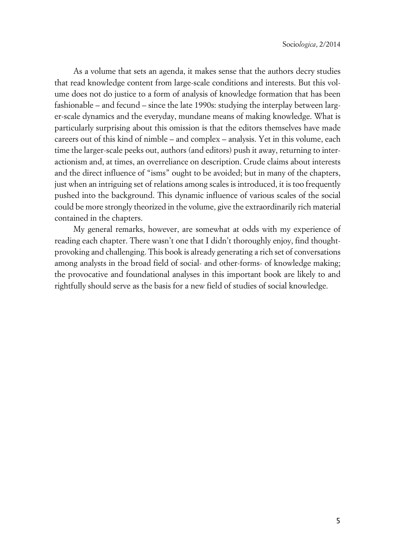As a volume that sets an agenda, it makes sense that the authors decry studies that read knowledge content from large-scale conditions and interests. But this volume does not do justice to a form of analysis of knowledge formation that has been fashionable – and fecund – since the late 1990s: studying the interplay between larger-scale dynamics and the everyday, mundane means of making knowledge. What is particularly surprising about this omission is that the editors themselves have made careers out of this kind of nimble – and complex – analysis. Yet in this volume, each time the larger-scale peeks out, authors (and editors) push it away, returning to interactionism and, at times, an overreliance on description. Crude claims about interests and the direct influence of "isms" ought to be avoided; but in many of the chapters, just when an intriguing set of relations among scales is introduced, it is too frequently pushed into the background. This dynamic influence of various scales of the social could be more strongly theorized in the volume, give the extraordinarily rich material contained in the chapters.

My general remarks, however, are somewhat at odds with my experience of reading each chapter. There wasn't one that I didn't thoroughly enjoy, find thoughtprovoking and challenging. This book is already generating a rich set of conversations among analysts in the broad field of social- and other-forms- of knowledge making; the provocative and foundational analyses in this important book are likely to and rightfully should serve as the basis for a new field of studies of social knowledge.